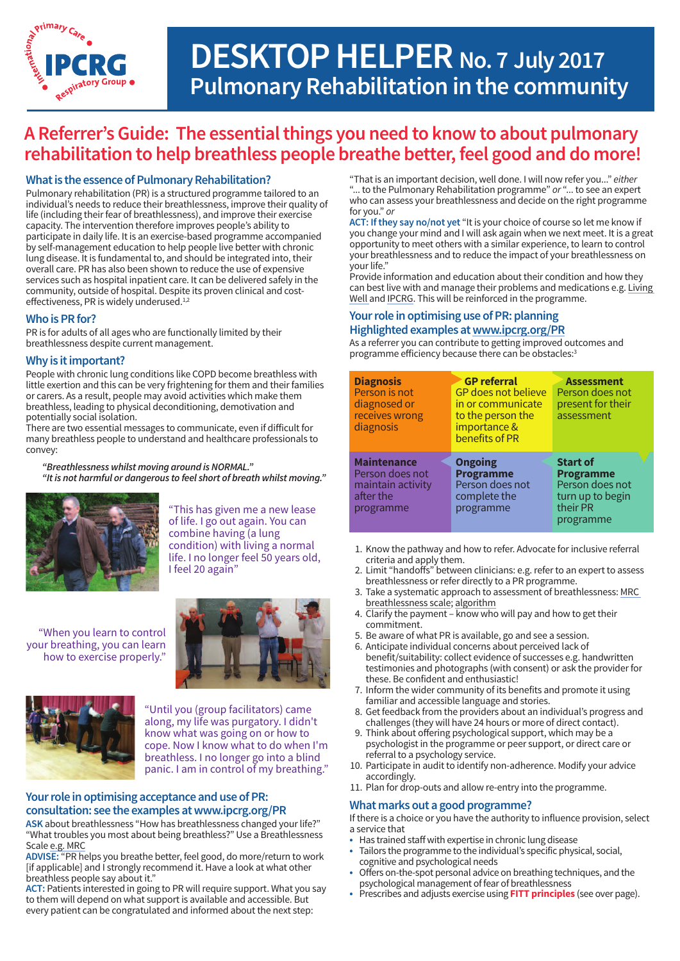

# **DESKTOP HELPER No. 7 July 2017 Pulmonary Rehabilitation in the community**

# **A Referrer'sGuide: The essentialthings you need to know to about pulmonary rehabilitation to help breathless people breathe better,feel good and do more!**

### **What is the essence of Pulmonary Rehabilitation?**

Pulmonary rehabilitation (PR) is a structured programme tailored to an individual's needs to reduce their breathlessness, improve their quality of life (including their fear of breathlessness), and improve their exercise capacity. The intervention therefore improves people's ability to participate in daily life. It is an exercise-based programme accompanied by self-management education to help people live better with chronic lung disease. It is fundamental to, and should be integrated into, their overall care. PR has also been shown to reduce the use of expensive services such as hospital inpatient care. It can be delivered safely in the community, outside of hospital. Despite its proven clinical and costeffectiveness, PR is widely underused.<sup>1,2</sup>

### **WhoisPRfor?**

PR is for adults of all ages who are functionally limited by their breathlessness despite current management.

### **Why is itimportant?**

People with chronic lung conditions like COPD become breathless with little exertion and this can be very frightening for them and their families or carers. As a result, people may avoid activities which make them breathless, leading to physical deconditioning, demotivation and potentially social isolation.

There are two essential messages to communicate, even if difficult for many breathless people to understand and healthcare professionals to convey:

*"Breathlessness whilst moving around is NORMAL." "Itis not harmful or dangerous to feel short of breath whilst moving."*



"This has given me a new lease of life. I go out again. You can combine having (a lung condition) with living a normal life. I no longer feel 50 years old, I feel 20 again"

 "When you learn to control your breathing, you can learn how to exercise properly."





 "Until you (group facilitators) came along, my life was purgatory. I didn't know what was going on or how to cope. Now I know what to do when I'm breathless. I no longer go into a blind panic. I am in control of my breathing."

### **Your role in optimising acceptance and use of PR: [consultation: see the examples at www.ipcrg.org/PR](https://consultation:seetheexamplesatwww.ipcrg.org/PR)**

 "What troubles you most about being breathless?" Use a Breathlessness Scale e.g. MRC **ASK** about breathlessness "How has breathlessness changed your life?"

 **ADVISE:** "PR helps you breathe better, feel good, do more/return to work [if applicable] and I strongly recommend it. Have a look at what other breathless people say about it."

 **ACT:** Patients interested in going to PR will require support. What you say to them will depend on what support is available and accessible. But every patient can be congratulated and informed about the next step:

 "That is an important decision, well done. I will now refer you..." *either* "... to the Pulmonary Rehabilitation programme" *or* "... to see an expert who can assess your breathlessness and decide on the right programme for you." *or*

 **ACT: If they say no/not yet** "It is your choice of course so let me know if you change your mind and I will ask again when we next meet. It is a great opportunity to meet others with a similar experience, to learn to control your breathlessness and to reduce the impact of your breathlessness on your life."

 Provide information and education about their condition and how they can best live with and manage their problems and medications e.g. Living [Well](http://www.livingwellwithcopd.com/) and [IPCRG.](http://www.theipcrg.org/display/TreatP/Pulmonary%20rehabilitation%20(PR)%20desktop%20helper,%20position%20paper%20and%20further%20information) This will be reinforced in the programme.

### **Your role in optimising use of PR: planning Highlighted examples at[www.ipcrg.org/PR](http://www.ipcrg.org/PR)**

programme efficiency because there can be obstacles:<sup>3</sup> As a referrer you can contribute to getting improved outcomes and

| <b>Diagnosis</b><br>Person is not<br>diagnosed or<br>receives wrong<br>diagnosis     | <b>GP</b> referral<br><b>GP</b> does not believe<br>in or communicate<br>to the person the<br>importance &<br>benefits of PR | <b>Assessment</b><br>Person does not<br>present for their<br>assessment                             |
|--------------------------------------------------------------------------------------|------------------------------------------------------------------------------------------------------------------------------|-----------------------------------------------------------------------------------------------------|
| <b>Maintenance</b><br>Person does not<br>maintain activity<br>after the<br>programme | <b>Ongoing</b><br><b>Programme</b><br>Person does not<br>complete the<br>programme                                           | <b>Start of</b><br><b>Programme</b><br>Person does not<br>turn up to begin<br>their PR<br>programme |

- 1. Know the pathway and how to refer. Advocate for inclusive referral criteria and apply them.
- 2. Limit "handoffs" between clinicians: e.g.referto an expert to assess breathlessness or refer directly to a PR programme.
- 3. Take a systematic approach to assessment of breathlessness: [MRC](https://www.mrc.ac.uk/documents/doc/1959-mrc-breathlessness-scale/)  [breathlessness](https://www.mrc.ac.uk/documents/doc/1959-mrc-breathlessness-scale/) scale; [algorithm](http://www.respiratoryfutures.org.uk/knowledge-portal/impress-documents/impress-breathlessness-algorithm/)
- 4. Clarify the payment know who will pay and how to get their commitment.
- 5. Be aware of what PR is available, go and see a session.
- 6. Anticipate individual concerns about perceived lack of benefit/suitability: collect evidence of successes e.g. handwritten testimonies and photographs (with consent) or ask the provider for these. Be confident and enthusiastic!
- 7. Inform the wider community of its benefits and promote it using familiar and accessible language and stories.
- 8. Get feedback from the providers about an individual's progress and challenges (they will have 24 hours or more of direct contact).
- 9. Think about offering psychological support, which may be a psychologist in the programme or peer support, or direct care or referral to a psychology service.
- 10. Participate in audit to identify non-adherence. Modify your advice accordingly.
- 11. Plan for drop-outs and allow re-entry into the programme.

### **What marks out a good programme?**

If there is a choice or you have the authority to influence provision, select a service that

- Has trained staff with expertise in chronic lung disease
- Tailors the programme to the individual's specific physical, social, cognitive and psychological needs
- Offers on-the-spot personal advice on breathing techniques, and the psychological management of fear of breathlessness
- Prescribes and adjusts exercise using **FITT principles** (see over page).